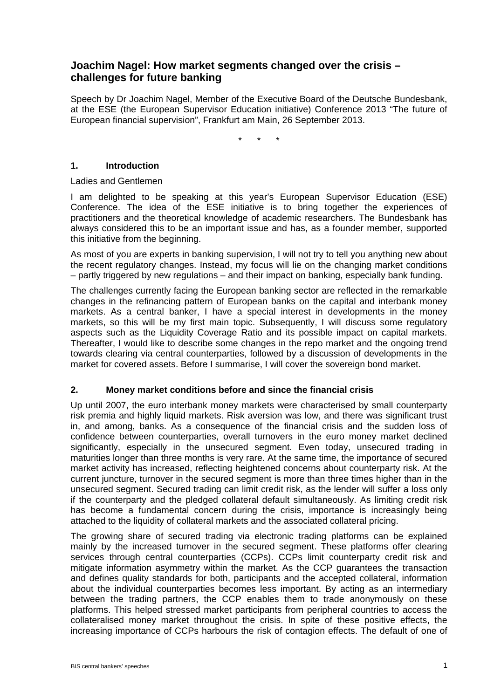# **Joachim Nagel: How market segments changed over the crisis – challenges for future banking**

Speech by Dr Joachim Nagel, Member of the Executive Board of the Deutsche Bundesbank, at the ESE (the European Supervisor Education initiative) Conference 2013 "The future of European financial supervision", Frankfurt am Main, 26 September 2013.

\* \* \*

## **1. Introduction**

Ladies and Gentlemen

I am delighted to be speaking at this year's European Supervisor Education (ESE) Conference. The idea of the ESE initiative is to bring together the experiences of practitioners and the theoretical knowledge of academic researchers. The Bundesbank has always considered this to be an important issue and has, as a founder member, supported this initiative from the beginning.

As most of you are experts in banking supervision, I will not try to tell you anything new about the recent regulatory changes. Instead, my focus will lie on the changing market conditions – partly triggered by new regulations – and their impact on banking, especially bank funding.

The challenges currently facing the European banking sector are reflected in the remarkable changes in the refinancing pattern of European banks on the capital and interbank money markets. As a central banker, I have a special interest in developments in the money markets, so this will be my first main topic. Subsequently, I will discuss some regulatory aspects such as the Liquidity Coverage Ratio and its possible impact on capital markets. Thereafter, I would like to describe some changes in the repo market and the ongoing trend towards clearing via central counterparties, followed by a discussion of developments in the market for covered assets. Before I summarise, I will cover the sovereign bond market.

## **2. Money market conditions before and since the financial crisis**

Up until 2007, the euro interbank money markets were characterised by small counterparty risk premia and highly liquid markets. Risk aversion was low, and there was significant trust in, and among, banks. As a consequence of the financial crisis and the sudden loss of confidence between counterparties, overall turnovers in the euro money market declined significantly, especially in the unsecured segment. Even today, unsecured trading in maturities longer than three months is very rare. At the same time, the importance of secured market activity has increased, reflecting heightened concerns about counterparty risk. At the current juncture, turnover in the secured segment is more than three times higher than in the unsecured segment. Secured trading can limit credit risk, as the lender will suffer a loss only if the counterparty and the pledged collateral default simultaneously. As limiting credit risk has become a fundamental concern during the crisis, importance is increasingly being attached to the liquidity of collateral markets and the associated collateral pricing.

The growing share of secured trading via electronic trading platforms can be explained mainly by the increased turnover in the secured segment. These platforms offer clearing services through central counterparties (CCPs). CCPs limit counterparty credit risk and mitigate information asymmetry within the market. As the CCP guarantees the transaction and defines quality standards for both, participants and the accepted collateral, information about the individual counterparties becomes less important. By acting as an intermediary between the trading partners, the CCP enables them to trade anonymously on these platforms. This helped stressed market participants from peripheral countries to access the collateralised money market throughout the crisis. In spite of these positive effects, the increasing importance of CCPs harbours the risk of contagion effects. The default of one of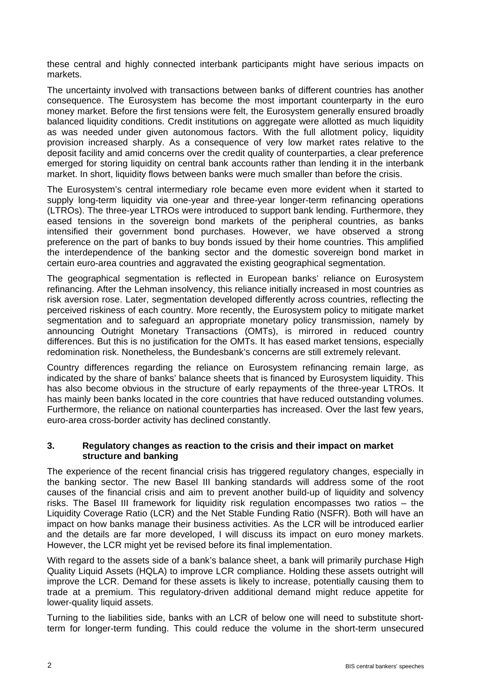these central and highly connected interbank participants might have serious impacts on markets.

The uncertainty involved with transactions between banks of different countries has another consequence. The Eurosystem has become the most important counterparty in the euro money market. Before the first tensions were felt, the Eurosystem generally ensured broadly balanced liquidity conditions. Credit institutions on aggregate were allotted as much liquidity as was needed under given autonomous factors. With the full allotment policy, liquidity provision increased sharply. As a consequence of very low market rates relative to the deposit facility and amid concerns over the credit quality of counterparties, a clear preference emerged for storing liquidity on central bank accounts rather than lending it in the interbank market. In short, liquidity flows between banks were much smaller than before the crisis.

The Eurosystem's central intermediary role became even more evident when it started to supply long-term liquidity via one-year and three-year longer-term refinancing operations (LTROs). The three-year LTROs were introduced to support bank lending. Furthermore, they eased tensions in the sovereign bond markets of the peripheral countries, as banks intensified their government bond purchases. However, we have observed a strong preference on the part of banks to buy bonds issued by their home countries. This amplified the interdependence of the banking sector and the domestic sovereign bond market in certain euro-area countries and aggravated the existing geographical segmentation.

The geographical segmentation is reflected in European banks' reliance on Eurosystem refinancing. After the Lehman insolvency, this reliance initially increased in most countries as risk aversion rose. Later, segmentation developed differently across countries, reflecting the perceived riskiness of each country. More recently, the Eurosystem policy to mitigate market segmentation and to safeguard an appropriate monetary policy transmission, namely by announcing Outright Monetary Transactions (OMTs), is mirrored in reduced country differences. But this is no justification for the OMTs. It has eased market tensions, especially redomination risk. Nonetheless, the Bundesbank's concerns are still extremely relevant.

Country differences regarding the reliance on Eurosystem refinancing remain large, as indicated by the share of banks' balance sheets that is financed by Eurosystem liquidity. This has also become obvious in the structure of early repayments of the three-year LTROs. It has mainly been banks located in the core countries that have reduced outstanding volumes. Furthermore, the reliance on national counterparties has increased. Over the last few years, euro-area cross-border activity has declined constantly.

## **3. Regulatory changes as reaction to the crisis and their impact on market structure and banking**

The experience of the recent financial crisis has triggered regulatory changes, especially in the banking sector. The new Basel III banking standards will address some of the root causes of the financial crisis and aim to prevent another build-up of liquidity and solvency risks. The Basel III framework for liquidity risk regulation encompasses two ratios – the Liquidity Coverage Ratio (LCR) and the Net Stable Funding Ratio (NSFR). Both will have an impact on how banks manage their business activities. As the LCR will be introduced earlier and the details are far more developed, I will discuss its impact on euro money markets. However, the LCR might yet be revised before its final implementation.

With regard to the assets side of a bank's balance sheet, a bank will primarily purchase High Quality Liquid Assets (HQLA) to improve LCR compliance. Holding these assets outright will improve the LCR. Demand for these assets is likely to increase, potentially causing them to trade at a premium. This regulatory-driven additional demand might reduce appetite for lower-quality liquid assets.

Turning to the liabilities side, banks with an LCR of below one will need to substitute shortterm for longer-term funding. This could reduce the volume in the short-term unsecured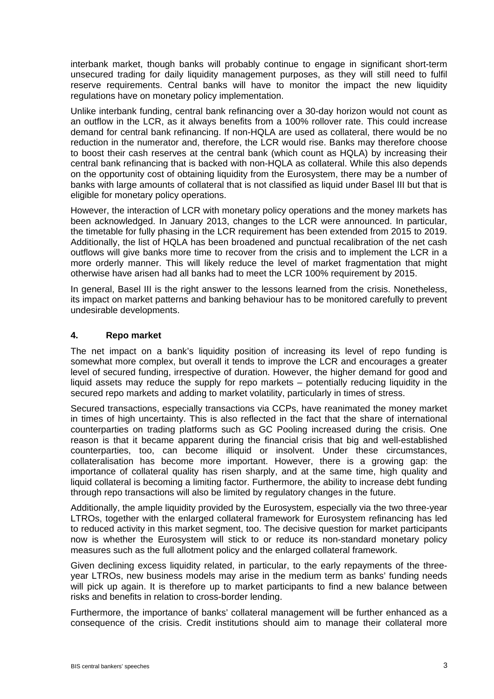interbank market, though banks will probably continue to engage in significant short-term unsecured trading for daily liquidity management purposes, as they will still need to fulfil reserve requirements. Central banks will have to monitor the impact the new liquidity regulations have on monetary policy implementation.

Unlike interbank funding, central bank refinancing over a 30-day horizon would not count as an outflow in the LCR, as it always benefits from a 100% rollover rate. This could increase demand for central bank refinancing. If non-HQLA are used as collateral, there would be no reduction in the numerator and, therefore, the LCR would rise. Banks may therefore choose to boost their cash reserves at the central bank (which count as HQLA) by increasing their central bank refinancing that is backed with non-HQLA as collateral. While this also depends on the opportunity cost of obtaining liquidity from the Eurosystem, there may be a number of banks with large amounts of collateral that is not classified as liquid under Basel III but that is eligible for monetary policy operations.

However, the interaction of LCR with monetary policy operations and the money markets has been acknowledged. In January 2013, changes to the LCR were announced. In particular, the timetable for fully phasing in the LCR requirement has been extended from 2015 to 2019. Additionally, the list of HQLA has been broadened and punctual recalibration of the net cash outflows will give banks more time to recover from the crisis and to implement the LCR in a more orderly manner. This will likely reduce the level of market fragmentation that might otherwise have arisen had all banks had to meet the LCR 100% requirement by 2015.

In general, Basel III is the right answer to the lessons learned from the crisis. Nonetheless, its impact on market patterns and banking behaviour has to be monitored carefully to prevent undesirable developments.

## **4. Repo market**

The net impact on a bank's liquidity position of increasing its level of repo funding is somewhat more complex, but overall it tends to improve the LCR and encourages a greater level of secured funding, irrespective of duration. However, the higher demand for good and liquid assets may reduce the supply for repo markets – potentially reducing liquidity in the secured repo markets and adding to market volatility, particularly in times of stress.

Secured transactions, especially transactions via CCPs, have reanimated the money market in times of high uncertainty. This is also reflected in the fact that the share of international counterparties on trading platforms such as GC Pooling increased during the crisis. One reason is that it became apparent during the financial crisis that big and well-established counterparties, too, can become illiquid or insolvent. Under these circumstances, collateralisation has become more important. However, there is a growing gap: the importance of collateral quality has risen sharply, and at the same time, high quality and liquid collateral is becoming a limiting factor. Furthermore, the ability to increase debt funding through repo transactions will also be limited by regulatory changes in the future.

Additionally, the ample liquidity provided by the Eurosystem, especially via the two three-year LTROs, together with the enlarged collateral framework for Eurosystem refinancing has led to reduced activity in this market segment, too. The decisive question for market participants now is whether the Eurosystem will stick to or reduce its non-standard monetary policy measures such as the full allotment policy and the enlarged collateral framework.

Given declining excess liquidity related, in particular, to the early repayments of the threeyear LTROs, new business models may arise in the medium term as banks' funding needs will pick up again. It is therefore up to market participants to find a new balance between risks and benefits in relation to cross-border lending.

Furthermore, the importance of banks' collateral management will be further enhanced as a consequence of the crisis. Credit institutions should aim to manage their collateral more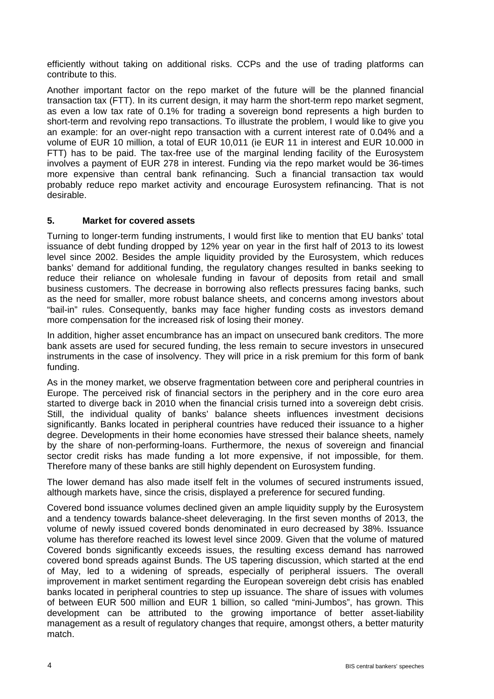efficiently without taking on additional risks. CCPs and the use of trading platforms can contribute to this.

Another important factor on the repo market of the future will be the planned financial transaction tax (FTT). In its current design, it may harm the short-term repo market segment, as even a low tax rate of 0.1% for trading a sovereign bond represents a high burden to short-term and revolving repo transactions. To illustrate the problem, I would like to give you an example: for an over-night repo transaction with a current interest rate of 0.04% and a volume of EUR 10 million, a total of EUR 10,011 (ie EUR 11 in interest and EUR 10.000 in FTT) has to be paid. The tax-free use of the marginal lending facility of the Eurosystem involves a payment of EUR 278 in interest. Funding via the repo market would be 36-times more expensive than central bank refinancing. Such a financial transaction tax would probably reduce repo market activity and encourage Eurosystem refinancing. That is not desirable.

## **5. Market for covered assets**

Turning to longer-term funding instruments, I would first like to mention that EU banks' total issuance of debt funding dropped by 12% year on year in the first half of 2013 to its lowest level since 2002. Besides the ample liquidity provided by the Eurosystem, which reduces banks' demand for additional funding, the regulatory changes resulted in banks seeking to reduce their reliance on wholesale funding in favour of deposits from retail and small business customers. The decrease in borrowing also reflects pressures facing banks, such as the need for smaller, more robust balance sheets, and concerns among investors about "bail-in" rules. Consequently, banks may face higher funding costs as investors demand more compensation for the increased risk of losing their money.

In addition, higher asset encumbrance has an impact on unsecured bank creditors. The more bank assets are used for secured funding, the less remain to secure investors in unsecured instruments in the case of insolvency. They will price in a risk premium for this form of bank funding.

As in the money market, we observe fragmentation between core and peripheral countries in Europe. The perceived risk of financial sectors in the periphery and in the core euro area started to diverge back in 2010 when the financial crisis turned into a sovereign debt crisis. Still, the individual quality of banks' balance sheets influences investment decisions significantly. Banks located in peripheral countries have reduced their issuance to a higher degree. Developments in their home economies have stressed their balance sheets, namely by the share of non-performing-loans. Furthermore, the nexus of sovereign and financial sector credit risks has made funding a lot more expensive, if not impossible, for them. Therefore many of these banks are still highly dependent on Eurosystem funding.

The lower demand has also made itself felt in the volumes of secured instruments issued, although markets have, since the crisis, displayed a preference for secured funding.

Covered bond issuance volumes declined given an ample liquidity supply by the Eurosystem and a tendency towards balance-sheet deleveraging. In the first seven months of 2013, the volume of newly issued covered bonds denominated in euro decreased by 38%. Issuance volume has therefore reached its lowest level since 2009. Given that the volume of matured Covered bonds significantly exceeds issues, the resulting excess demand has narrowed covered bond spreads against Bunds. The US tapering discussion, which started at the end of May, led to a widening of spreads, especially of peripheral issuers. The overall improvement in market sentiment regarding the European sovereign debt crisis has enabled banks located in peripheral countries to step up issuance. The share of issues with volumes of between EUR 500 million and EUR 1 billion, so called "mini-Jumbos", has grown. This development can be attributed to the growing importance of better asset-liability management as a result of regulatory changes that require, amongst others, a better maturity match.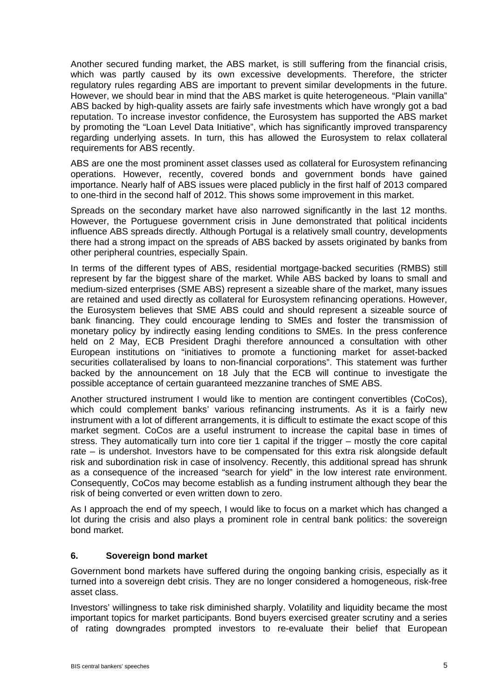Another secured funding market, the ABS market, is still suffering from the financial crisis, which was partly caused by its own excessive developments. Therefore, the stricter regulatory rules regarding ABS are important to prevent similar developments in the future. However, we should bear in mind that the ABS market is quite heterogeneous. "Plain vanilla" ABS backed by high-quality assets are fairly safe investments which have wrongly got a bad reputation. To increase investor confidence, the Eurosystem has supported the ABS market by promoting the "Loan Level Data Initiative", which has significantly improved transparency regarding underlying assets. In turn, this has allowed the Eurosystem to relax collateral requirements for ABS recently.

ABS are one the most prominent asset classes used as collateral for Eurosystem refinancing operations. However, recently, covered bonds and government bonds have gained importance. Nearly half of ABS issues were placed publicly in the first half of 2013 compared to one-third in the second half of 2012. This shows some improvement in this market.

Spreads on the secondary market have also narrowed significantly in the last 12 months. However, the Portuguese government crisis in June demonstrated that political incidents influence ABS spreads directly. Although Portugal is a relatively small country, developments there had a strong impact on the spreads of ABS backed by assets originated by banks from other peripheral countries, especially Spain.

In terms of the different types of ABS, residential mortgage-backed securities (RMBS) still represent by far the biggest share of the market. While ABS backed by loans to small and medium-sized enterprises (SME ABS) represent a sizeable share of the market, many issues are retained and used directly as collateral for Eurosystem refinancing operations. However, the Eurosystem believes that SME ABS could and should represent a sizeable source of bank financing. They could encourage lending to SMEs and foster the transmission of monetary policy by indirectly easing lending conditions to SMEs. In the press conference held on 2 May, ECB President Draghi therefore announced a consultation with other European institutions on "initiatives to promote a functioning market for asset-backed securities collateralised by loans to non-financial corporations". This statement was further backed by the announcement on 18 July that the ECB will continue to investigate the possible acceptance of certain guaranteed mezzanine tranches of SME ABS.

Another structured instrument I would like to mention are contingent convertibles (CoCos), which could complement banks' various refinancing instruments. As it is a fairly new instrument with a lot of different arrangements, it is difficult to estimate the exact scope of this market segment. CoCos are a useful instrument to increase the capital base in times of stress. They automatically turn into core tier 1 capital if the trigger – mostly the core capital rate – is undershot. Investors have to be compensated for this extra risk alongside default risk and subordination risk in case of insolvency. Recently, this additional spread has shrunk as a consequence of the increased "search for yield" in the low interest rate environment. Consequently, CoCos may become establish as a funding instrument although they bear the risk of being converted or even written down to zero.

As I approach the end of my speech, I would like to focus on a market which has changed a lot during the crisis and also plays a prominent role in central bank politics: the sovereign bond market.

## **6. Sovereign bond market**

Government bond markets have suffered during the ongoing banking crisis, especially as it turned into a sovereign debt crisis. They are no longer considered a homogeneous, risk-free asset class.

Investors' willingness to take risk diminished sharply. Volatility and liquidity became the most important topics for market participants. Bond buyers exercised greater scrutiny and a series of rating downgrades prompted investors to re-evaluate their belief that European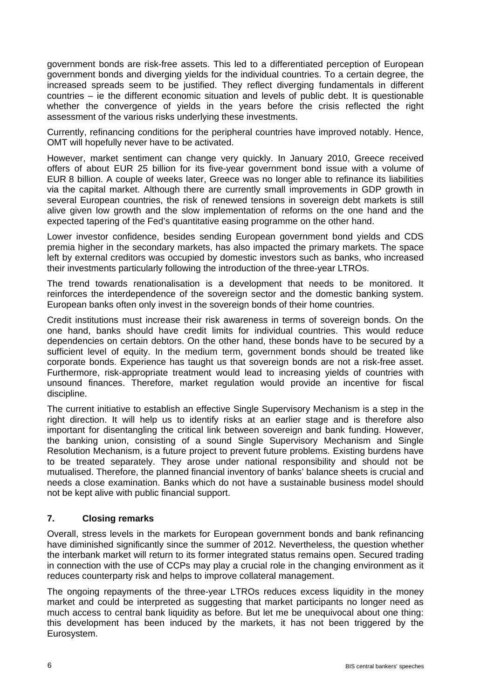government bonds are risk-free assets. This led to a differentiated perception of European government bonds and diverging yields for the individual countries. To a certain degree, the increased spreads seem to be justified. They reflect diverging fundamentals in different countries – ie the different economic situation and levels of public debt. It is questionable whether the convergence of yields in the years before the crisis reflected the right assessment of the various risks underlying these investments.

Currently, refinancing conditions for the peripheral countries have improved notably. Hence, OMT will hopefully never have to be activated.

However, market sentiment can change very quickly. In January 2010, Greece received offers of about EUR 25 billion for its five-year government bond issue with a volume of EUR 8 billion. A couple of weeks later, Greece was no longer able to refinance its liabilities via the capital market. Although there are currently small improvements in GDP growth in several European countries, the risk of renewed tensions in sovereign debt markets is still alive given low growth and the slow implementation of reforms on the one hand and the expected tapering of the Fed's quantitative easing programme on the other hand.

Lower investor confidence, besides sending European government bond yields and CDS premia higher in the secondary markets, has also impacted the primary markets. The space left by external creditors was occupied by domestic investors such as banks, who increased their investments particularly following the introduction of the three-year LTROs.

The trend towards renationalisation is a development that needs to be monitored. It reinforces the interdependence of the sovereign sector and the domestic banking system. European banks often only invest in the sovereign bonds of their home countries.

Credit institutions must increase their risk awareness in terms of sovereign bonds. On the one hand, banks should have credit limits for individual countries. This would reduce dependencies on certain debtors. On the other hand, these bonds have to be secured by a sufficient level of equity. In the medium term, government bonds should be treated like corporate bonds. Experience has taught us that sovereign bonds are not a risk-free asset. Furthermore, risk-appropriate treatment would lead to increasing yields of countries with unsound finances. Therefore, market regulation would provide an incentive for fiscal discipline.

The current initiative to establish an effective Single Supervisory Mechanism is a step in the right direction. It will help us to identify risks at an earlier stage and is therefore also important for disentangling the critical link between sovereign and bank funding. However, the banking union, consisting of a sound Single Supervisory Mechanism and Single Resolution Mechanism, is a future project to prevent future problems. Existing burdens have to be treated separately. They arose under national responsibility and should not be mutualised. Therefore, the planned financial inventory of banks' balance sheets is crucial and needs a close examination. Banks which do not have a sustainable business model should not be kept alive with public financial support.

## **7. Closing remarks**

Overall, stress levels in the markets for European government bonds and bank refinancing have diminished significantly since the summer of 2012. Nevertheless, the question whether the interbank market will return to its former integrated status remains open. Secured trading in connection with the use of CCPs may play a crucial role in the changing environment as it reduces counterparty risk and helps to improve collateral management.

The ongoing repayments of the three-year LTROs reduces excess liquidity in the money market and could be interpreted as suggesting that market participants no longer need as much access to central bank liquidity as before. But let me be unequivocal about one thing: this development has been induced by the markets, it has not been triggered by the Eurosystem.